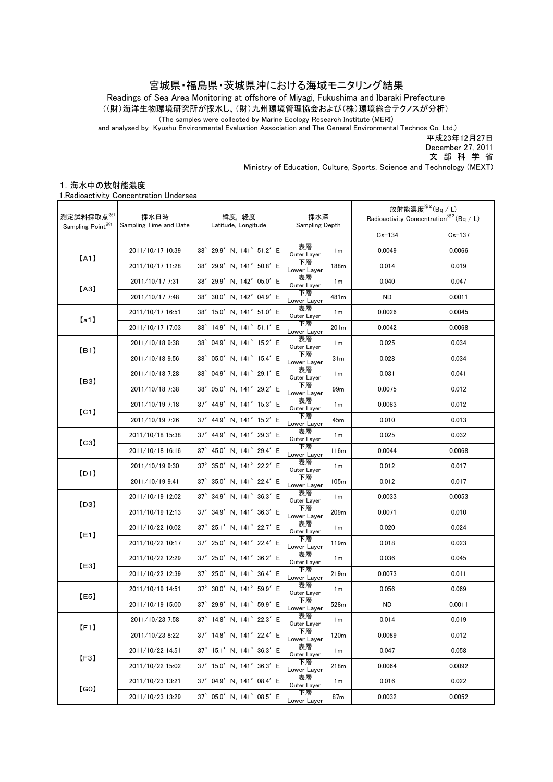## 宮城県・福島県・茨城県沖における海域モニタリング結果

((財)海洋生物環境研究所が採水し、(財)九州環境管理協会および(株)環境総合テクノスが分析) Readings of Sea Area Monitoring at offshore of Miyagi, Fukushima and Ibaraki Prefecture

(The samples were collected by Marine Ecology Research Institute (MERI)

and analysed by Kyushu Environmental Evaluation Association and The General Environmental Technos Co. Ltd.)

平成23年12月27日

December 27, 2011

文 部 科 学 省

Ministry of Education, Culture, Sports, Science and Technology (MEXT)

## 1.海水中の放射能濃度

1.Radioactivity Concentration Undersea

| 測定試料採取点※1                     | 採水日時<br>Sampling Time and Date | 緯度 経度<br>Latitude, Longitude                 | 採水深<br>Sampling Depth |                  | 放射能濃度 $*^{2}$ (Bq / L)<br>Radioactivity Concentration <sup>**2</sup> (Bq / L) |            |
|-------------------------------|--------------------------------|----------------------------------------------|-----------------------|------------------|-------------------------------------------------------------------------------|------------|
| Sampling Point <sup>361</sup> |                                |                                              |                       |                  | $Cs - 134$                                                                    | $Cs - 137$ |
| [A1]                          | 2011/10/17 10:39               | 38° 29.9' N, 141° 51.2' E                    | 表層<br>Outer Layer     | 1 <sub>m</sub>   | 0.0049                                                                        | 0.0066     |
|                               | 2011/10/17 11:28               | 38° 29.9' N. 141° 50.8' E                    | 下層<br>Lower Layer     | 188m             | 0.014                                                                         | 0.019      |
| [A3]                          | 2011/10/17 7:31                | 38° 29.9' N. 142° 05.0' E                    | 表層<br>Outer Layer     | 1 <sub>m</sub>   | 0.040                                                                         | 0.047      |
|                               | 2011/10/17 7:48                | 38° 30.0' N. 142° 04.9' E                    | 下層<br>Lower Layer     | 481m             | ND.                                                                           | 0.0011     |
| [a1]                          | 2011/10/17 16:51               | 38° 15.0' N. 141° 51.0' E                    | 表層<br>Outer Layer     | 1 <sub>m</sub>   | 0.0026                                                                        | 0.0045     |
|                               | 2011/10/17 17:03               | 38° 14.9' N, 141° 51.1' E                    | 下層<br>Lower Layer     | 201 <sub>m</sub> | 0.0042                                                                        | 0.0068     |
| [ <b>B1</b> ]                 | 2011/10/18 9:38                | 38° 04.9' N, 141° 15.2' E                    | 表層<br>Outer Layer     | 1m               | 0.025                                                                         | 0.034      |
|                               | 2011/10/18 9:56                | 38° 05.0' N, 141° 15.4' E                    | 下層<br>Lower Layer     | 31 <sub>m</sub>  | 0.028                                                                         | 0.034      |
| [B3]                          | 2011/10/18 7:28                | 38° 04.9' N, 141° 29.1' E                    | 表層<br>Outer Layer     | 1 <sub>m</sub>   | 0.031                                                                         | 0.041      |
|                               | 2011/10/18 7:38                | 38° 05.0' N, 141° 29.2' E                    | 下層<br>Lower Layer     | 99 <sub>m</sub>  | 0.0075                                                                        | 0.012      |
| [CI]                          | 2011/10/19 7:18                | 37° 44.9' N, 141° 15.3' E                    | 表層<br>Outer Layer     | 1 <sub>m</sub>   | 0.0083                                                                        | 0.012      |
|                               | 2011/10/19 7:26                | 37° 44.9' N. 141° 15.2' E                    | 下層<br>Lower Layer     | 45m              | 0.010                                                                         | 0.013      |
| [C3]                          | 2011/10/18 15:38               | 37° 44.9' N, 141° 29.3' E                    | 表層<br>Outer Layer     | 1 <sub>m</sub>   | 0.025                                                                         | 0.032      |
|                               | 2011/10/18 16:16               | 37° 45.0' N. 141° 29.4' E                    | 下層<br>Lower Layer     | 116m             | 0.0044                                                                        | 0.0068     |
| [D1]                          | 2011/10/19 9:30                | 37° 35.0' N, 141° 22.2' E                    | 表層<br>Outer Layer     | 1m               | 0.012                                                                         | 0.017      |
|                               | 2011/10/19 9:41                | 37° 35.0' N, 141° 22.4' E                    | 下層<br>Lower Layer     | 105m             | 0.012                                                                         | 0.017      |
| [D3]                          | 2011/10/19 12:02               | $37^{\circ}$ 34.9' N, 141 $^{\circ}$ 36.3' E | 表層<br>Outer Layer     | 1m               | 0.0033                                                                        | 0.0053     |
|                               | 2011/10/19 12:13               | 37° 34.9' N, 141° 36.3' E                    | 下層<br>Lower Layer     | 209m             | 0.0071                                                                        | 0.010      |
| E1                            | 2011/10/22 10:02               | 37° 25.1' N, 141° 22.7' E                    | 表層<br>Outer Layer     | 1m               | 0.020                                                                         | 0.024      |
|                               | 2011/10/22 10:17               | 37° 25.0' N, 141° 22.4' E                    | 下層<br>Lower Layer     | 119m             | 0.018                                                                         | 0.023      |
| [E3]                          | 2011/10/22 12:29               | $37^{\circ}$ 25.0' N, 141 $^{\circ}$ 36.2' E | 表層<br>Outer Layer     | 1 <sub>m</sub>   | 0.036                                                                         | 0.045      |
|                               | 2011/10/22 12:39               | 37° 25.0' N, 141° 36.4' E                    | 下層<br>Lower Layer     | 219m             | 0.0073                                                                        | 0.011      |
| [E5]                          | 2011/10/19 14:51               | 37° 30.0' N, 141° 59.9' E                    | 表層<br>Outer Layer     | 1 <sub>m</sub>   | 0.056                                                                         | 0.069      |
|                               | 2011/10/19 15:00               | 37° 29.9' N. 141° 59.9' E                    | 下層<br>Lower Layer     | 528m             | ND.                                                                           | 0.0011     |
| [F1]                          | 2011/10/23 7:58                | $37^\circ$ 14.8' N, 141 $^\circ$ 22.3' E     | 表層<br>Outer Layer     | 1 <sub>m</sub>   | 0.014                                                                         | 0.019      |
|                               | 2011/10/23 8:22                | 37° 14.8' N, 141° 22.4' E                    | 下層<br>Lower Layer     | 120m             | 0.0089                                                                        | 0.012      |
| [F3]                          | 2011/10/22 14:51               | 37° 15.1' N, 141° 36.3' E                    | 表層<br>Outer Layer     | 1m               | 0.047                                                                         | 0.058      |
|                               | 2011/10/22 15:02               | 37° 15.0' N, 141° 36.3' E                    | 下層<br>Lower Layer     | 218m             | 0.0064                                                                        | 0.0092     |
| [GO]                          | 2011/10/23 13:21               | 37° 04.9' N, 141° 08.4' E                    | 表層<br>Outer Layer     | 1m               | 0.016                                                                         | 0.022      |
|                               | 2011/10/23 13:29               | 37° 05.0' N, 141° 08.5' E                    | 下層<br>Lower Layer     | 87m              | 0.0032                                                                        | 0.0052     |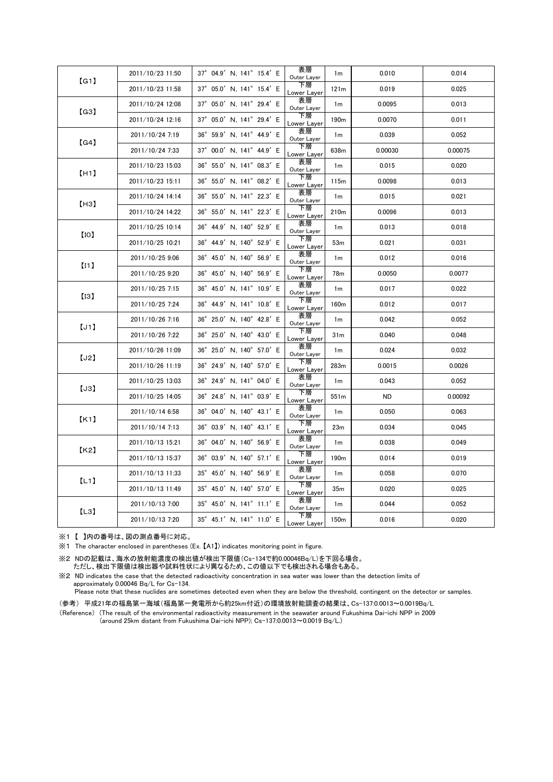| [G1] | 2011/10/23 11:50 | 37° 04.9' N, 141° 15.4' E                    | 表層<br>Outer Layer | 1 <sub>m</sub>   | 0.010     | 0.014   |
|------|------------------|----------------------------------------------|-------------------|------------------|-----------|---------|
|      | 2011/10/23 11:58 | 37° 05.0' N, 141° 15.4' E                    | 下層<br>Lower Layer | 121m             | 0.019     | 0.025   |
| (G3) | 2011/10/24 12:08 | 37° 05.0' N, 141° 29.4' E                    | 表層<br>Outer Layer | 1 <sub>m</sub>   | 0.0095    | 0.013   |
|      | 2011/10/24 12:16 | 37° 05.0' N, 141° 29.4' E                    | 下層<br>Lower Layer | 190 <sub>m</sub> | 0.0070    | 0.011   |
| (G4) | 2011/10/24 7:19  | $36^{\circ}$ 59.9' N, 141 $^{\circ}$ 44.9' E | 表層<br>Outer Layer | 1 <sub>m</sub>   | 0.039     | 0.052   |
|      | 2011/10/24 7:33  | 37° 00.0' N, 141° 44.9' E                    | 下層<br>Lower Layer | 638m             | 0.00030   | 0.00075 |
| [H1] | 2011/10/23 15:03 | 36° 55.0' N, 141° 08.3' E                    | 表層<br>Outer Layer | 1 <sub>m</sub>   | 0.015     | 0.020   |
|      | 2011/10/23 15:11 | $36^{\circ}$ 55.0' N, 141 $^{\circ}$ 08.2' E | 下層<br>Lower Layer | 115m             | 0.0098    | 0.013   |
| [H3] | 2011/10/24 14:14 | 36° 55.0' N, 141° 22.3' E                    | 表層<br>Outer Layer | 1m               | 0.015     | 0.021   |
|      | 2011/10/24 14:22 | 36° 55.0' N, 141° 22.3' E                    | 下層<br>Lower Layer | 210 <sub>m</sub> | 0.0096    | 0.013   |
| [10] | 2011/10/25 10:14 | 36° 44.9' N, 140° 52.9' E                    | 表層<br>Outer Layer | 1 <sub>m</sub>   | 0.013     | 0.018   |
|      | 2011/10/25 10:21 | 36° 44.9' N, 140° 52.9' E                    | 下層<br>Lower Layer | 53m              | 0.021     | 0.031   |
| [11] | 2011/10/25 9:06  | 36° 45.0' N, 140° 56.9' E                    | 表層<br>Outer Layer | 1 <sub>m</sub>   | 0.012     | 0.016   |
|      | 2011/10/25 9:20  | 36° 45.0' N, 140° 56.9' E                    | 下層<br>Lower Layer | 78m              | 0.0050    | 0.0077  |
| [13] | 2011/10/25 7:15  | 36° 45.0' N, 141° 10.9' E                    | 表層<br>Outer Layer | 1 <sub>m</sub>   | 0.017     | 0.022   |
|      | 2011/10/25 7:24  | 36° 44.9' N, 141° 10.8' E                    | 下層<br>Lower Layer | 160m             | 0.012     | 0.017   |
| [J1] | 2011/10/26 7:16  | 36° 25.0' N, 140° 42.8' E                    | 表層<br>Outer Layer | 1 <sub>m</sub>   | 0.042     | 0.052   |
|      | 2011/10/26 7:22  | $36^{\circ}$ 25.0' N, 140 $^{\circ}$ 43.0' E | 下層<br>Lower Layer | 31 <sub>m</sub>  | 0.040     | 0.048   |
| [J2] | 2011/10/26 11:09 | 36° 25.0' N, 140° 57.0' E                    | 表層<br>Outer Layer | 1 <sub>m</sub>   | 0.024     | 0.032   |
|      | 2011/10/26 11:19 | 36° 24.9' N, 140° 57.0' E                    | 下層<br>Lower Layer | 283m             | 0.0015    | 0.0026  |
| [J3] | 2011/10/25 13:03 | 36° 24.9' N, 141° 04.0' E                    | 表層<br>Outer Layer | 1 <sub>m</sub>   | 0.043     | 0.052   |
|      | 2011/10/25 14:05 | 36° 24.8' N, 141° 03.9' E                    | 下層<br>Lower Layer | 551m             | <b>ND</b> | 0.00092 |
| K1   | 2011/10/14 6:58  | 36° 04.0' N, 140° 43.1' E                    | 表層<br>Outer Layer | 1 <sub>m</sub>   | 0.050     | 0.063   |
|      | 2011/10/14 7:13  | 36° 03.9' N, 140° 43.1' E                    | 下層<br>Lower Layer | 23 <sub>m</sub>  | 0.034     | 0.045   |
| 【K2】 | 2011/10/13 15:21 | 36° 04.0' N, 140° 56.9' E                    | 表層<br>Outer Layer | 1 <sub>m</sub>   | 0.038     | 0.049   |
|      | 2011/10/13 15:37 | 36° 03.9' N, 140° 57.1' E                    | 下層<br>Lower Layer | 190 <sub>m</sub> | 0.014     | 0.019   |
| (L1) | 2011/10/13 11:33 | $35^{\circ}$ 45.0' N, 140 $^{\circ}$ 56.9' E | 表層<br>Outer Layer | 1 <sub>m</sub>   | 0.058     | 0.070   |
|      | 2011/10/13 11:49 | 35° 45.0' N, 140° 57.0' E                    | 下層<br>Lower Layer | 35 <sub>m</sub>  | 0.020     | 0.025   |
| [L3] | 2011/10/13 7:00  | 35° 45.0' N, 141° 11.1' E                    | 表層<br>Outer Layer | 1 <sub>m</sub>   | 0.044     | 0.052   |
|      | 2011/10/13 7:20  | 35° 45.1' N, 141° 11.0' E                    | 下層<br>Lower Layer | 150 <sub>m</sub> | 0.016     | 0.020   |

※1 【 】内の番号は、図の測点番号に対応。

※1 The character enclosed in parentheses (Ex. 【A1】) indicates monitoring point in figure.

※2 NDの記載は、海水の放射能濃度の検出値が検出下限値(Cs-134で約0.00046Bq/L)を下回る場合。 ただし、検出下限値は検出器や試料性状により異なるため、この値以下でも検出される場合もある。

※2 ND indicates the case that the detected radioactivity concentration in sea water was lower than the detection limits of approximately 0.00046 Bq/L for Cs-134.

Please note that these nuclides are sometimes detected even when they are below the threshold, contingent on the detector or samples.

(参考) 平成21年の福島第一海域(福島第一発電所から約25km付近)の環境放射能調査の結果は、Cs-137:0.0013~0.0019Bq/L

(Reference) (The result of the environmental radioactivity measurement in the seawater around Fukushima Dai-ichi NPP in 2009 (around 25km distant from Fukushima Dai-ichi NPP); Cs-137:0.0013~0.0019 Bq/L.)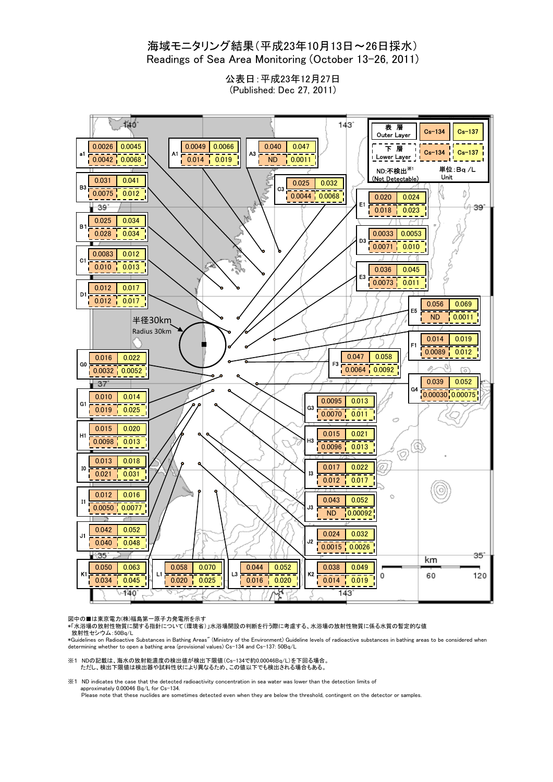## 海域モニタリング結果(平成23年10月13日~26日採水) Readings of Sea Area Monitoring (October 13-26, 2011)

公表日:平成23年12月27日 (Published: Dec 27, 2011)



図中の■は東京電力(株)福島第一原子力発電所を示す<br>\*「水浴場の放射性物質に関する指針について(環境省)」水浴場開設の判断を行う際に考慮する、水浴場の放射性物質に係る水質の暫定的な値 放射性セシウム:50Bq/L

\*Guidelines on Radioactive Substances in Bathing Areas" (Ministry of the Environment) Guideline levels of radioactive substances in bathing areas to be considered when determining whether to open a bathing area (provisional values) Cs-134 and Cs-137: 50Bq/L

※1 NDの記載は、海水の放射能濃度の検出値が検出下限値(Cs-134で約0.00046Bq/L)を下回る場合。 ただし、検出下限値は検出器や試料性状により異なるため、この値以下でも検出される場合もある。

※1 ND indicates the case that the detected radioactivity concentration in sea water was lower than the detection limits of approximately 0.00046 Bq/L for Cs-134.

Please note that these nuclides are sometimes detected even when they are below the threshold, contingent on the detector or samples.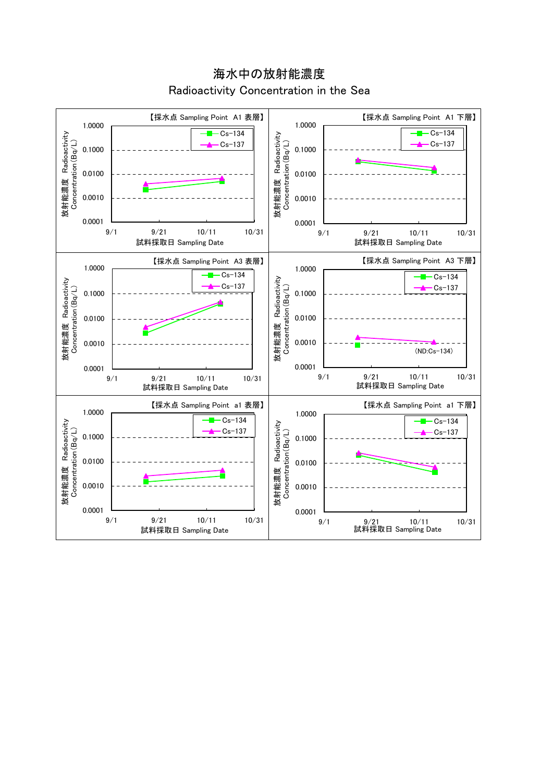【採水点 Sampling Point A1 表層】 【採水点 Sampling Point A1 下層】 1.0000 1.0000 Cs-134  $-Cs-134$ 放射能濃度 Radioactivity<br>Concentration(Bq/L) 放射能濃度 Radioactivity<br>Concentration(Bq/L) 放射能濃度 Radioactivity 放射能濃度 Radioactivity Cs-137 Concentration(Bq/L)  $Cx - 137$ Concentration(Bq/L) 0.1000 0.1000 0.0100 0.0100 0.0010 0.0010 0.0001 0.0001 9/1 9/21 10/11 10/31 9/1 9/21 10/11 10/31 試料採取日 Sampling Date 試料採取日 Sampling Date 【採水点 Sampling Point A3 表層】 【採水点 Sampling Point A3 下層】 1.0000 1.0000  $Cs-134$  $-Cs-134$ 放射能濃度 Radioactivity<br>Concentration(Bq/L) 放射能濃度 Radioactivity<br>Concentration(Bq/L) 放射能濃度 Radioactivity 放射能濃度 Radioactivity  $Cx - 137$  $-cs-137$ Concentration(Bq/L) Concentration(Bq/L) 0.1000 0.1000 0.0100 0.0100 0.0010 0.0010 (ND:Cs-134)0.0001 0.0001 9/1 9/21 10/11 10/31 9/1 9/21 10/11 10/31 試料採取日 Sampling Date 試料採取日 Sampling Date 【採水点 Sampling Point a1 表層】 【採水点 Sampling Point a1 下層】 1.0000 1.0000  $-Cs-134$ 放射能濃度 Radioactivity<br>Concentration(Bq/L)  $-Cs-134$ 放射能濃度 Radioactivity<br>Concentration(Bq/L) 放射能濃度 Radioactivity 放射能濃度 Radioactivity  $-cs-137$ Cs-137 Concentration(Bq/L) Concentration(Bq/L) 0.1000 0.1000 0.0100 0.0100 0.0010 0.0010 0.0001 0.0001 9/1 9/21 10/11 10/31 9/1 9/21 10/11 10/31 試料採取日 Sampling Date 試料採取日 Sampling Date

海水中の放射能濃度 Radioactivity Concentration in the Sea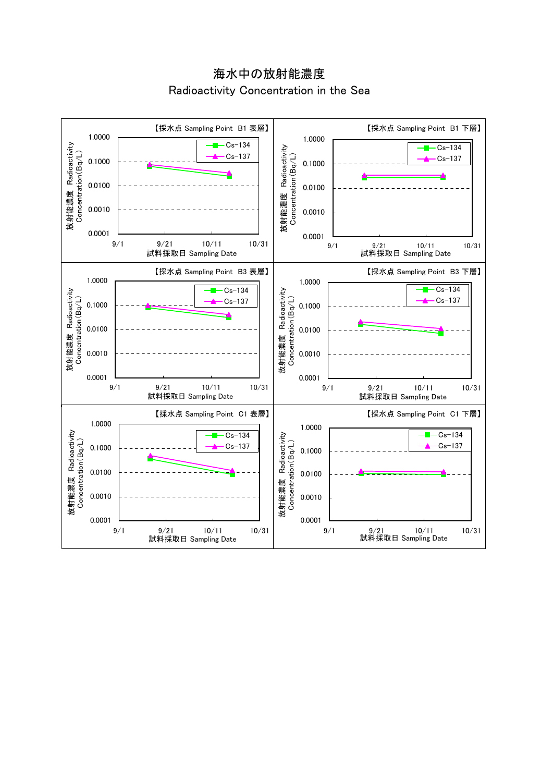海水中の放射能濃度 Radioactivity Concentration in the Sea

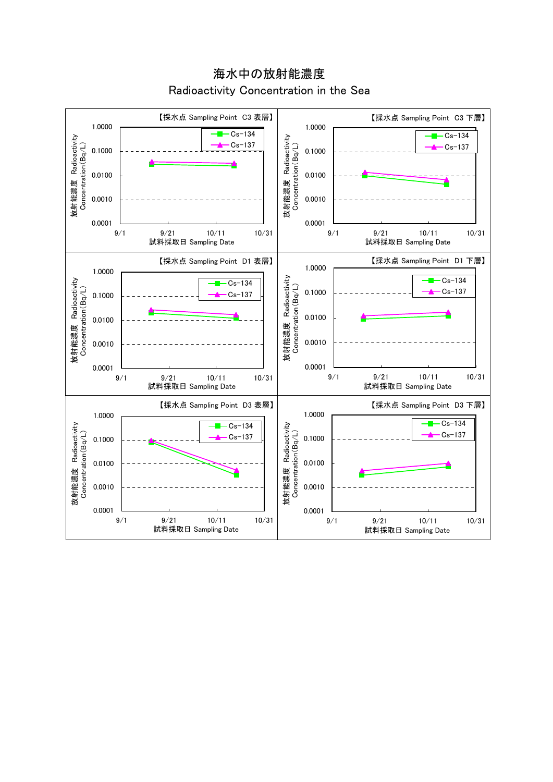海水中の放射能濃度 Radioactivity Concentration in the Sea

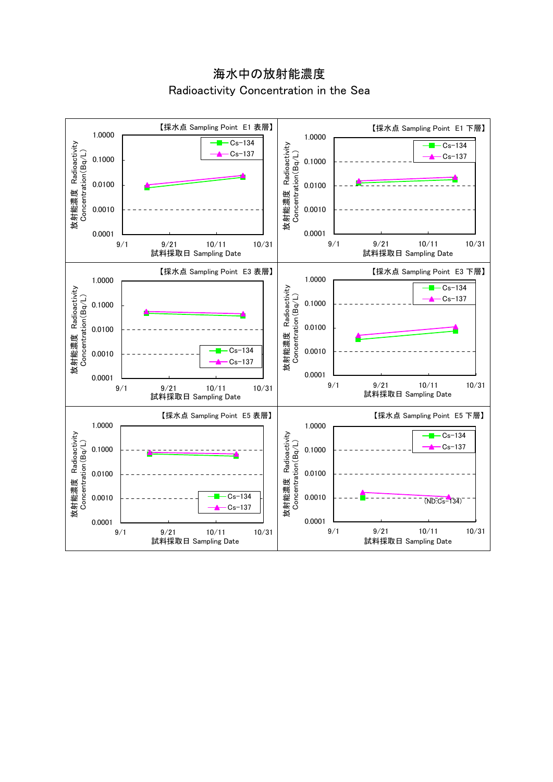海水中の放射能濃度 Radioactivity Concentration in the Sea

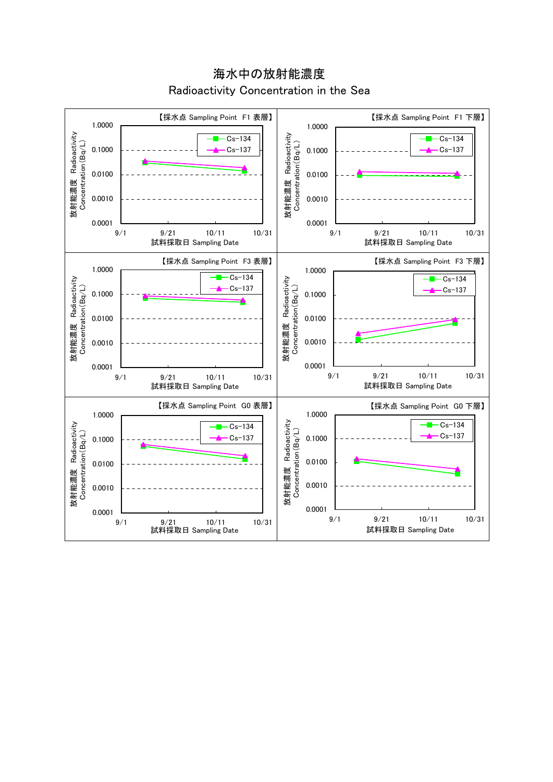【採水点 Sampling Point F1 表層】 【採水点 Sampling Point F1 下層】 1.0000 1.0000 放射能濃度 Radioactivity<br>Concentration (Bq/L) 放射能濃度 Radioactivity<br>Concentration(Bq/L) 放射能濃度 Radioactivity 放射能濃度 Radioactivity  $Cs-134$  $Cs-134$ Concentration(Bq/L) Concentration(Bq/L) 0.1000 Cs-137 0.1000 Cs-137 0.0100 0.0100 0.0010 0.0010 0.0001 0.0001 9/1 9/21 10/11 10/31 9/1 9/21 10/11 10/31 試料採取日 Sampling Date 試料採取日 Sampling Date 【採水点 Sampling Point F3 表層】 【採水点 Sampling Point F3 下層】 1.0000 1.0000 Cs-134 放射能濃度 Radioactivity<br>Concentration(Bq/L)  $-Cs-134$ 放射能濃度 Radioactivity<br>Concentration(Bq/L) 放射能濃度 Radioactivity 放射能濃度 Radioactivity Cs-137 Concentration(Bq/L) Concentration(Bq/L)  $-cs-137$ 0.1000 0.1000 0.0100 0.0100 0.0010 0.0010 0.0001 0.0001 9/1 9/21 10/11 10/31 9/1 9/21 10/11 10/31 試料採取日 Sampling Date 試料採取日 Sampling Date 【採水点 Sampling Point G0 表層】 【採水点 Sampling Point G0 下層】 1.0000 1.0000 放射能濃度 Radioactivity<br>Concentration(Bq/L) 放射能濃度 Radioactivity 放射能濃度 Radioactivity<br>Concentration(Bq/L)  $-Cs-134$ 放射能濃度 Radioactivity  $-Cs-134$ Concentration(Bq/L) Concentration(Bq/L)  $-cs-137$ Cs-137 0.1000 0.1000 0.0100 0.0100 0.0010 0.0010 0.0001 0.0001 9/1 9/21 10/11 10/31 9/1 9/21 10/11 10/31 試料採取日 Sampling Date 試料採取日 Sampling Date

海水中の放射能濃度 Radioactivity Concentration in the Sea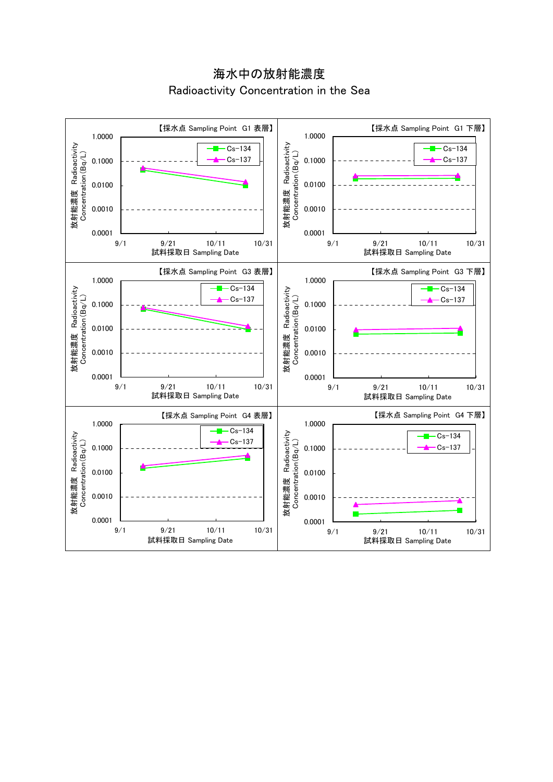海水中の放射能濃度 Radioactivity Concentration in the Sea

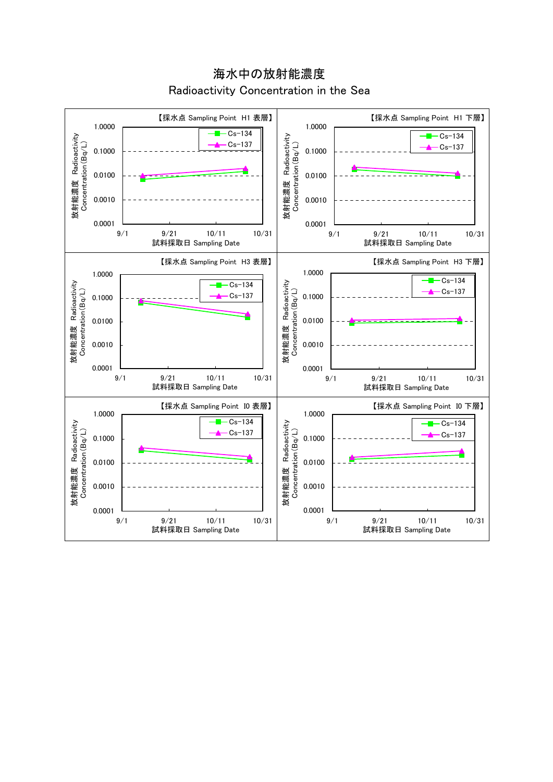【採水点 Sampling Point H1 表層】 【採水点 Sampling Point H1 下層】 1.0000 1.0000  $-Cs-134$ 放射能濃度 Radioactivity<br>Concentration(Bq/L)  $-Cs-134$ 放射能濃度 Radioactivity<br>Concentration (Bq/L) 放射能濃度 Radioactivity 放射能濃度 Radioactivity Cs-137 Concentration(Bq/L) Concentration(Bq/L)  $-cs-137$ 0.1000 0.1000 0.0100 0.0100 0.0010 0.0010 0.0001 0.0001 9/1 9/21 10/11 10/31 9/1 9/21 10/11 10/31 試料採取日 Sampling Date 試料採取日 Sampling Date 【採水点 Sampling Point H3 表層】 【採水点 Sampling Point H3 下層】 1.0000 1.0000  $-Cs-134$ 放射能濃度 Radioactivity<br>Concentration(Bq/L) 放射能濃度 Radioactivity Cs-134 放射能濃度 Radioactivity<br>Concentration(Bq/L) 放射能濃度 Radioactivity Cs-137 Concentration(Bq/L) Concentration(Bq/L)  $-cs-137$ 0.1000 0.1000 0.0100 0.0100 0.0010 0.0010 0.0001 0.0001 9/1 9/21 10/11 10/31 9/1 9/21 10/11 10/31 試料採取日 Sampling Date 試料採取日 Sampling Date 【採水点 Sampling Point I0 表層】 【採水点 Sampling Point I0 下層】 1.0000 1.0000  $Cs-134$ 放射能濃度 Radioactivity<br>Concentration (Bq/L) 放射能濃度 Radioactivity  $Cs-134$ 放射能濃度 Radioactivity 放射能濃度 Radioactivity  $-cs-137$ Concentration (Bq/L) Concentration(Bq/L) Concentration(Bq/L)  $-cs-137$ 0.1000 0.1000 0.0100 0.0100 0.0010 0.0010 0.0001 0.0001 9/1 9/21 10/11 10/31 9/1 9/21 10/11 10/31 試料採取日 Sampling Date 試料採取日 Sampling Date

海水中の放射能濃度 Radioactivity Concentration in the Sea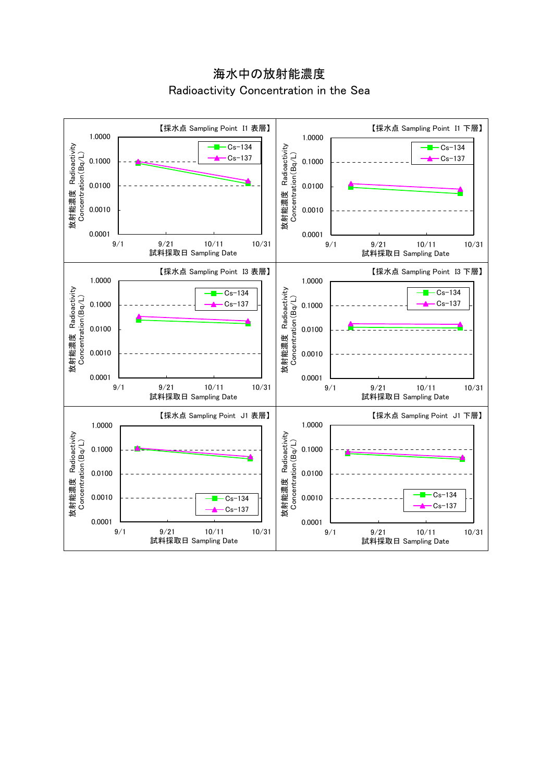海水中の放射能濃度 Radioactivity Concentration in the Sea

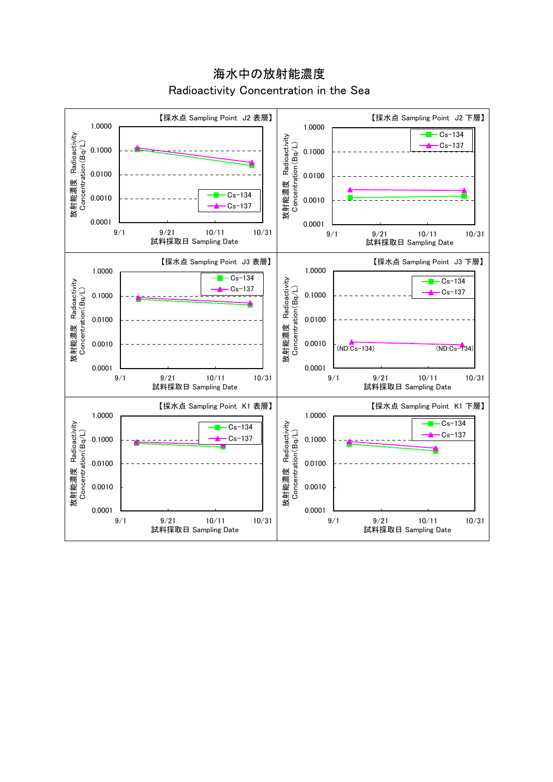【採水点 Sampling Point J2 表層】 【採水点 Sampling Point J2 下層】 1.0000 1.0000  $-Cs-134$ 放射能濃度 Radioactivity<br>Concentration(Bq/L) 放射能濃度 Radioactivity 放射能濃度 Radioactivity<br>Concentration(Bq/L) 放射能濃度 Radioactivity Concentration(Bq/L) Cs-137 Concentration(Bq/L) 0.1000 0.1000 0.0100 0.0100  $Cx - 134$ 0.0010 0.0010 Cs-137 0.0001 0.0001 9/1 9/21 10/11 10/31 9/1 9/21 10/11 10/31 試料採取日 Sampling Date 試料採取日 Sampling Date 【採水点 Sampling Point J3 表層】 【採水点 Sampling Point J3 下層】 1.0000 1.0000  $-Cs-134$ 放射能濃度 Radioactivity<br>Concentration(Bq/L)  $-Cs-134$ 放射能濃度 Radioactivity<br>Concentration(Bq/L) 放射能濃度 Radioactivity 放射能濃度 Radioactivity Cs-137 Concentration(Bq/L) Concentration(Bq/L)  $Cs-137$ 0.1000 0.1000 0.0100 0.0100 0.0010 0.0010  $(ND:Cs-134)$   $(ND:Cs-134)$ 0.0001 0.0001 9/1 9/21 10/11 10/31 9/1 9/21 10/11 10/31 試料採取日 Sampling Date 試料採取日 Sampling Date 【採水点 Sampling Point K1 表層】 【採水点 Sampling Point K1 下層】 1.0000 1.0000  $\overline{Cs-134}$ 放射能濃度 Radioactivity<br>Concentration (Bq/L) 放射能濃度 Radioactivity<br>Concentration (Bq/L) 放射能濃度 Radioactivity 放射能濃度 Radioactivity Cs-134 Concentration(Bq/L) Concentration(Bq/L)  $-cs-137$ Cs-137 0.1000 0.1000 0.0100 0.0100 0.0010 0.0010 0.0001 0.0001 9/1 9/21 10/11 10/31 9/1 9/21 10/11 10/31 試料採取日 Sampling Date 試料採取日 Sampling Date

海水中の放射能濃度 Radioactivity Concentration in the Sea